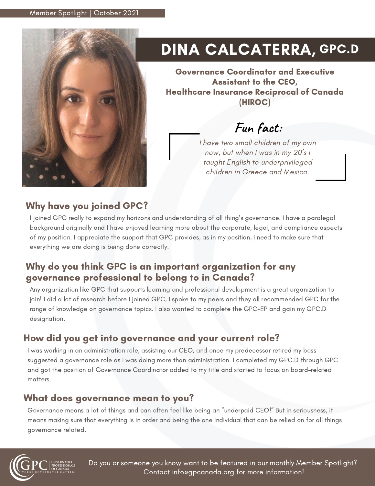

# DINA CALCATERRA, GPC.D

Governance Coordinator and Executive Assistant to the CEO, Healthcare Insurance Reciprocal of Canada (HIROC)

# **Fun fact:**

I have two small children of my own now, but when I was in my 20's I taught English to underprivileged children in Greece and Mexico.

## Why have you joined GPC?

I joined GPC really to expand my horizons and understanding of all thing's governance. I have a paralegal background originally and I have enjoyed learning more about the corporate, legal, and compliance aspects of my position. I appreciate the support that GPC provides, as in my position, I need to make sure that everything we are doing is being done correctly.

### Why do you think GPC is an important organization for any governance professional to belong to in Canada?

Any organization like GPC that supports learning and professional development is a great organization to join! I did a lot of research before I joined GPC, I spoke to my peers and they all recommended GPC for the range of knowledge on governance topics. I also wanted to complete the GPC-EP and gain my GPC.D designation.

## How did you get into governance and your current role?

I was working in an administration role, assisting our CEO, and once my predecessor retired my boss suggested a governance role as I was doing more than administration. I completed my GPC.D through GPC and got the position of Governance Coordinator added to my title and started to focus on board-related matters.

#### What does governance mean to you?

Governance means a lot of things and can often feel like being an "underpaid CEO!" But in seriousness, it means making sure that everything is in order and being the one individual that can be relied on for all things governance related.



Do you or someone you know want to be featured in our monthly Member Spotlight? Contact info@gpcanada.org for more information!